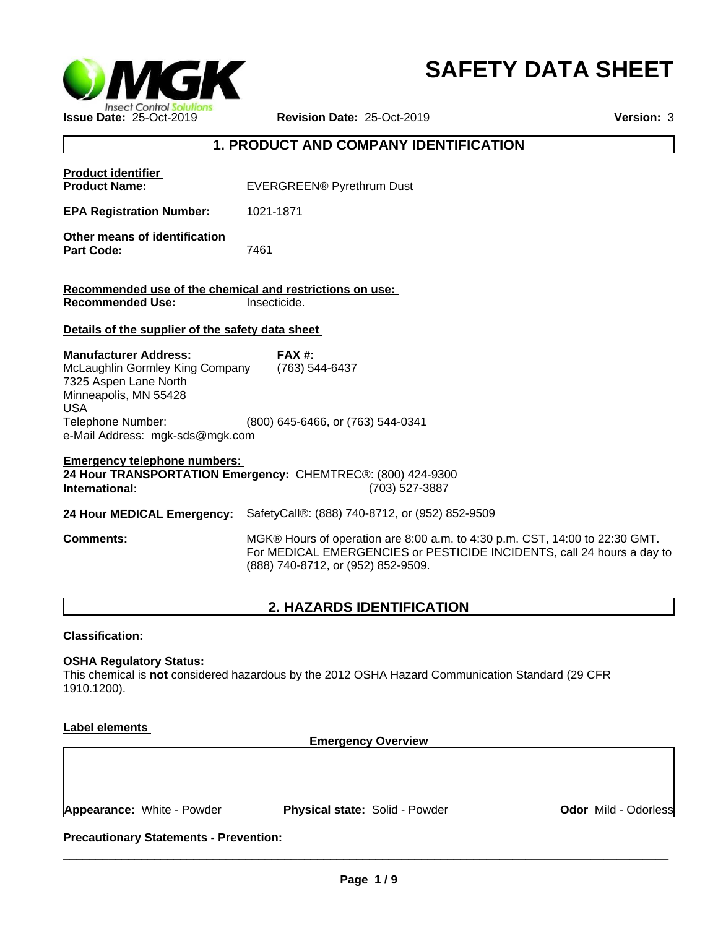

# **SAFETY DATA SHEET**

# **1. PRODUCT AND COMPANY IDENTIFICATION**

| <b>Product identifier</b><br><b>Product Name:</b>                                                                                                                                       | EVERGREEN® Pyrethrum Dust                                                                                                                                                                   |  |
|-----------------------------------------------------------------------------------------------------------------------------------------------------------------------------------------|---------------------------------------------------------------------------------------------------------------------------------------------------------------------------------------------|--|
| <b>EPA Registration Number:</b>                                                                                                                                                         | 1021-1871                                                                                                                                                                                   |  |
| Other means of identification<br><b>Part Code:</b>                                                                                                                                      | 7461                                                                                                                                                                                        |  |
| Recommended use of the chemical and restrictions on use:<br><b>Recommended Use:</b>                                                                                                     | Insecticide.                                                                                                                                                                                |  |
| Details of the supplier of the safety data sheet                                                                                                                                        |                                                                                                                                                                                             |  |
|                                                                                                                                                                                         |                                                                                                                                                                                             |  |
| <b>Manufacturer Address:</b><br>McLaughlin Gormley King Company<br>7325 Aspen Lane North<br>Minneapolis, MN 55428<br><b>USA</b><br>Telephone Number:<br>e-Mail Address: mgk-sds@mgk.com | $FAX#$ :<br>(763) 544-6437<br>(800) 645-6466, or (763) 544-0341                                                                                                                             |  |
| <b>Emergency telephone numbers:</b><br>24 Hour TRANSPORTATION Emergency: CHEMTREC®: (800) 424-9300<br>International:<br>(703) 527-3887                                                  |                                                                                                                                                                                             |  |
| 24 Hour MEDICAL Emergency:                                                                                                                                                              | SafetyCall®: (888) 740-8712, or (952) 852-9509                                                                                                                                              |  |
| <b>Comments:</b>                                                                                                                                                                        | MGK® Hours of operation are 8:00 a.m. to 4:30 p.m. CST, 14:00 to 22:30 GMT.<br>For MEDICAL EMERGENCIES or PESTICIDE INCIDENTS, call 24 hours a day to<br>(888) 740-8712, or (952) 852-9509. |  |
|                                                                                                                                                                                         |                                                                                                                                                                                             |  |

# **2. HAZARDS IDENTIFICATION**

# **Classification:**

### **OSHA Regulatory Status:**

This chemical is **not** considered hazardous by the 2012 OSHA Hazard Communication Standard (29 CFR 1910.1200).

# **Label elements**

**Emergency Overview**

**Appearance:** White - Powder **Physical state:** Solid - Powder

**Odor** Mild - Odorless

**Precautionary Statements - Prevention:**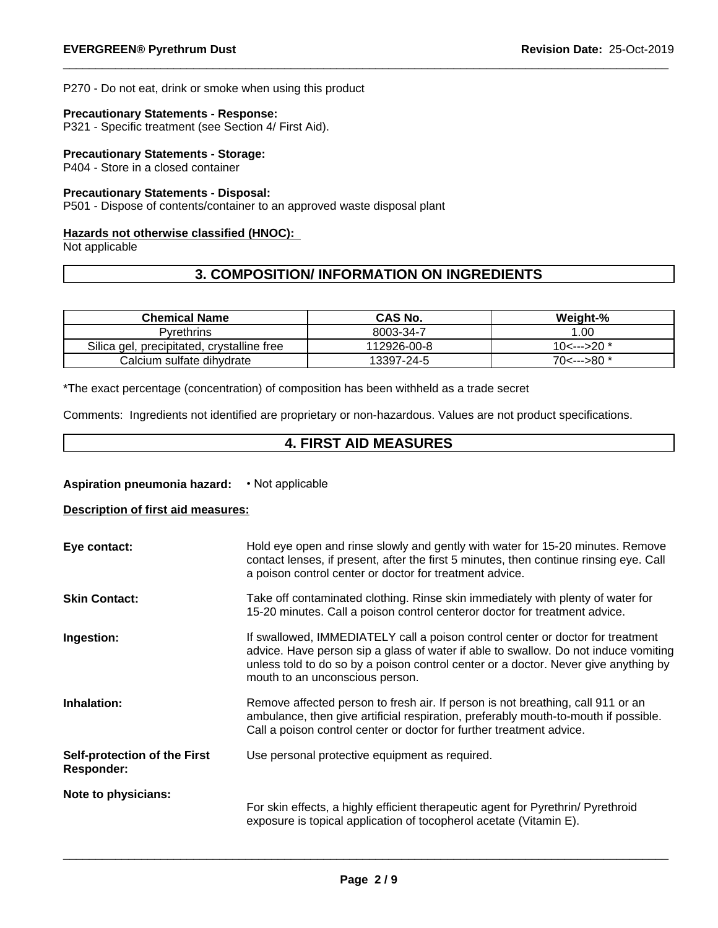P270 - Do not eat, drink or smoke when using this product

#### **Precautionary Statements - Response:**

P321 - Specific treatment (see Section 4/ First Aid).

## **Precautionary Statements - Storage:**

P404 - Store in a closed container

# **Precautionary Statements - Disposal:**

P501 - Dispose of contents/container to an approved waste disposal plant

## **Hazards not otherwise classified (HNOC):**

Not applicable

# **3. COMPOSITION/ INFORMATION ON INGREDIENTS**

| <b>Chemical Name</b>                            | <b>CAS No.</b> | Weight-%     |
|-------------------------------------------------|----------------|--------------|
| Pvrethrins                                      | 8003-34-7      | .00          |
| Silica gel,<br>, precipitated, crystalline free | 12926-00-8     | $10<---20$ * |
| Calcium sulfate dihydrate                       | 13397-24-5     | $70<---80$ * |

\*The exact percentage (concentration) of composition has been withheld as a trade secret

Comments: Ingredients not identified are proprietary or non-hazardous. Values are not product specifications.

# **4. FIRST AID MEASURES**

### **Aspiration pneumonia hazard: • Not applicable**

# **Description of first aid measures:**

| Eye contact:                                             | Hold eye open and rinse slowly and gently with water for 15-20 minutes. Remove<br>contact lenses, if present, after the first 5 minutes, then continue rinsing eye. Call<br>a poison control center or doctor for treatment advice.                                                             |
|----------------------------------------------------------|-------------------------------------------------------------------------------------------------------------------------------------------------------------------------------------------------------------------------------------------------------------------------------------------------|
| <b>Skin Contact:</b>                                     | Take off contaminated clothing. Rinse skin immediately with plenty of water for<br>15-20 minutes. Call a poison control centeror doctor for treatment advice.                                                                                                                                   |
| Ingestion:                                               | If swallowed, IMMEDIATELY call a poison control center or doctor for treatment<br>advice. Have person sip a glass of water if able to swallow. Do not induce vomiting<br>unless told to do so by a poison control center or a doctor. Never give anything by<br>mouth to an unconscious person. |
| Inhalation:                                              | Remove affected person to fresh air. If person is not breathing, call 911 or an<br>ambulance, then give artificial respiration, preferably mouth-to-mouth if possible.<br>Call a poison control center or doctor for further treatment advice.                                                  |
| <b>Self-protection of the First</b><br><b>Responder:</b> | Use personal protective equipment as required.                                                                                                                                                                                                                                                  |
| Note to physicians:                                      | For skin effects, a highly efficient therapeutic agent for Pyrethrin/ Pyrethroid<br>exposure is topical application of tocopherol acetate (Vitamin E).                                                                                                                                          |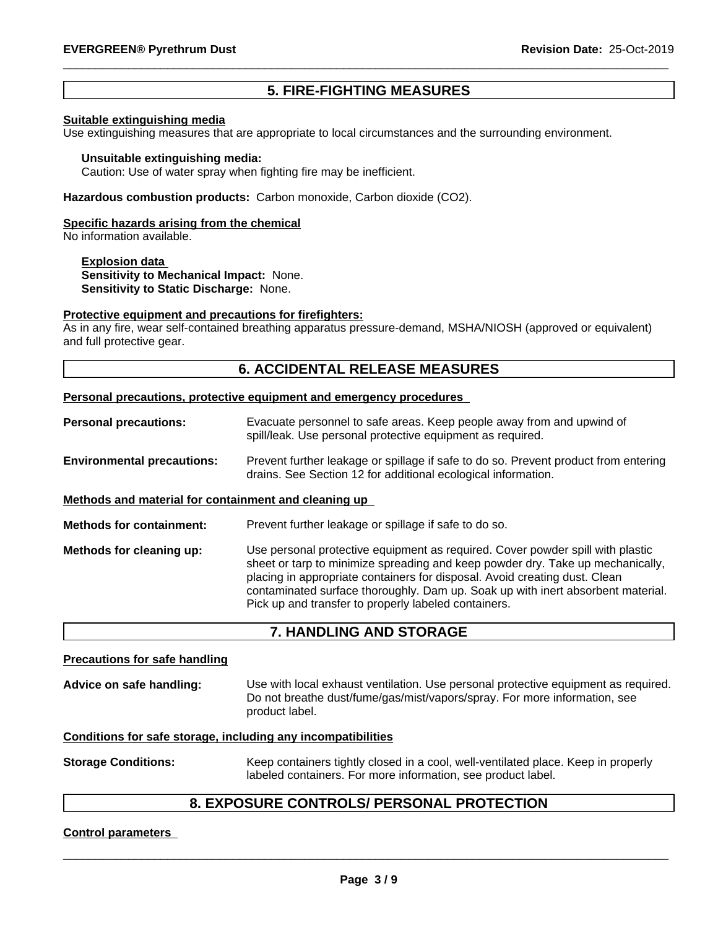# **5. FIRE-FIGHTING MEASURES**

#### **Suitable extinguishing media**

Use extinguishing measures that are appropriate to local circumstances and the surrounding environment.

#### **Unsuitable extinguishing media:**

Caution: Use of water spray when fighting fire may be inefficient.

**Hazardous combustion products:** Carbon monoxide, Carbon dioxide (CO2).

#### **Specific hazards arising from the chemical**

No information available.

**Explosion data Sensitivity to Mechanical Impact:** None. **Sensitivity to Static Discharge:** None.

#### **Protective equipment and precautions for firefighters:**

As in any fire, wear self-contained breathing apparatus pressure-demand, MSHA/NIOSH (approved or equivalent) and full protective gear.

# **6. ACCIDENTAL RELEASE MEASURES**

#### **Personal precautions, protective equipment and emergency procedures**

- **Personal precautions:** Evacuate personnel to safe areas. Keep people away from and upwind of spill/leak. Use personal protective equipment as required.
- **Environmental precautions:** Prevent further leakage or spillage if safe to do so. Prevent product from entering drains. See Section 12 for additional ecological information.

#### **Methods and material for containment and cleaning up**

**Methods for containment:** Prevent further leakage or spillage if safe to do so.

**Methods for cleaning up:** Use personal protective equipment as required.Cover powder spill with plastic sheet or tarp to minimize spreading and keep powder dry. Take up mechanically, placing in appropriate containers for disposal. Avoid creating dust. Clean contaminated surface thoroughly.Dam up. Soak up with inert absorbent material. Pick up and transfer to properly labeled containers.

# **7. HANDLING AND STORAGE**

#### **Precautions for safe handling**

Advice on safe handling: Use with local exhaust ventilation. Use personal protective equipment as required.<br>Do not breathe dust/fume/gas/mist/vapors/spray. For more information, see product label.

#### **Conditions for safe storage, including any incompatibilities**

**Storage Conditions:** Keep containers tightly closed in a cool, well-ventilated place. Keep in properly labeled containers. For more information, see product label.

# **8. EXPOSURE CONTROLS/ PERSONAL PROTECTION**

#### **Control parameters**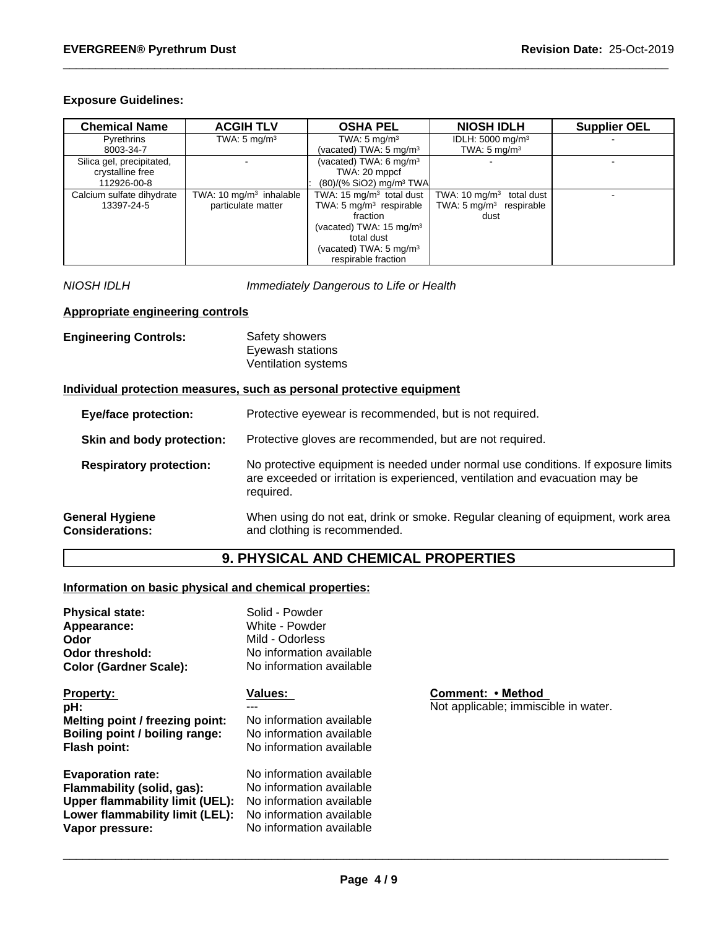# **Exposure Guidelines:**

| <b>Chemical Name</b>      | <b>ACGIH TLV</b>          | <b>OSHA PEL</b>                     | <b>NIOSH IDLH</b>                   | <b>Supplier OEL</b> |
|---------------------------|---------------------------|-------------------------------------|-------------------------------------|---------------------|
| Pyrethrins                | TWA: $5 \text{ mg/m}^3$   | TWA: $5 \text{ mg/m}^3$             | IDLH: $5000 \text{ mg/m}^3$         |                     |
| 8003-34-7                 |                           | (vacated) TWA: 5 mg/m <sup>3</sup>  | TWA: $5 \text{ mg/m}^3$             |                     |
| Silica gel, precipitated, |                           | (vacated) TWA: 6 mg/m <sup>3</sup>  |                                     |                     |
| crystalline free          |                           | TWA: 20 mppcf                       |                                     |                     |
| 112926-00-8               |                           | (80)/(% SiO2) mg/m <sup>3</sup> TWA |                                     |                     |
| Calcium sulfate dihydrate | TWA: 10 $mg/m3$ inhalable | TWA: 15 $mq/m3$ total dust          | TWA: $10 \text{ mg/m}^3$ total dust |                     |
| 13397-24-5                | particulate matter        | TWA: $5 \text{ mg/m}^3$ respirable  | TWA: $5 \text{ mg/m}^3$ respirable  |                     |
|                           |                           | fraction                            | dust                                |                     |
|                           |                           | (vacated) TWA: $15 \text{ mg/m}^3$  |                                     |                     |
|                           |                           | total dust                          |                                     |                     |
|                           |                           | (vacated) TWA: $5 \text{ mg/m}^3$   |                                     |                     |
|                           |                           | respirable fraction                 |                                     |                     |

*NIOSH IDLH Immediately Dangerous to Life or Health*

# **Appropriate engineering controls**

| <b>Engineering Controls:</b> | Safety showers      |  |
|------------------------------|---------------------|--|
|                              | Eyewash stations    |  |
|                              | Ventilation systems |  |

# **Individual protection measures, such as personal protective equipment**

| <b>Eye/face protection:</b>                      | Protective eyewear is recommended, but is not required.                                                                                                                        |
|--------------------------------------------------|--------------------------------------------------------------------------------------------------------------------------------------------------------------------------------|
| Skin and body protection:                        | Protective gloves are recommended, but are not required.                                                                                                                       |
| <b>Respiratory protection:</b>                   | No protective equipment is needed under normal use conditions. If exposure limits<br>are exceeded or irritation is experienced, ventilation and evacuation may be<br>required. |
| <b>General Hygiene</b><br><b>Considerations:</b> | When using do not eat, drink or smoke. Regular cleaning of equipment, work area<br>and clothing is recommended.                                                                |

# **9. PHYSICAL AND CHEMICAL PROPERTIES**

# **Information on basic physical and chemical properties:**

| <b>Physical state:</b>                 | Solid - Powder           |              |
|----------------------------------------|--------------------------|--------------|
| Appearance:                            | White - Powder           |              |
| Odor                                   | Mild - Odorless          |              |
| <b>Odor threshold:</b>                 | No information available |              |
| <b>Color (Gardner Scale):</b>          | No information available |              |
| <b>Property:</b>                       | <b>Values:</b>           | Comment:     |
| pH:                                    |                          | Not applicab |
| Melting point / freezing point:        | No information available |              |
| Boiling point / boiling range:         | No information available |              |
| Flash point:                           | No information available |              |
| <b>Evaporation rate:</b>               | No information available |              |
| Flammability (solid, gas):             | No information available |              |
| <b>Upper flammability limit (UEL):</b> | No information available |              |
| Lower flammability limit (LEL):        | No information available |              |
| Vapor pressure:                        | No information available |              |

**Propert:** • Method applicable; immiscible in water.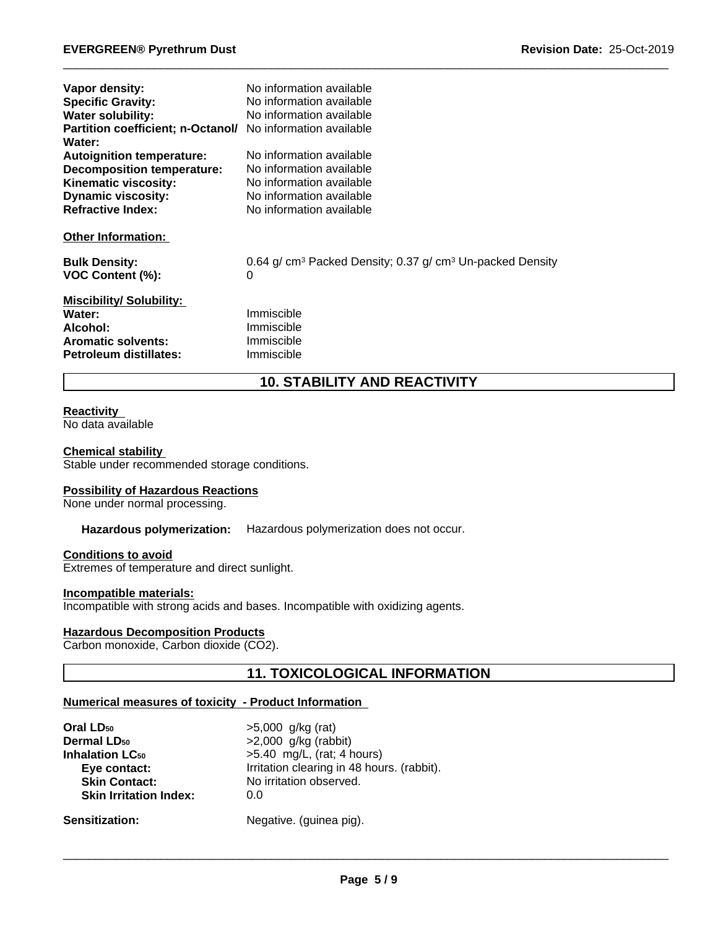| Vapor density:<br><b>Specific Gravity:</b><br><b>Water solubility:</b><br><b>Partition coefficient; n-Octanol/</b><br>Water: | No information available<br>No information available<br>No information available<br>No information available |
|------------------------------------------------------------------------------------------------------------------------------|--------------------------------------------------------------------------------------------------------------|
| <b>Autoignition temperature:</b>                                                                                             | No information available                                                                                     |
| <b>Decomposition temperature:</b>                                                                                            | No information available                                                                                     |
| Kinematic viscosity:<br><b>Dynamic viscosity:</b>                                                                            | No information available<br>No information available                                                         |
| <b>Refractive Index:</b>                                                                                                     | No information available                                                                                     |
| <b>Other Information:</b>                                                                                                    |                                                                                                              |
| <b>Bulk Density:</b><br>VOC Content (%):                                                                                     | 0.64 g/ cm <sup>3</sup> Packed Density; 0.37 g/ cm <sup>3</sup> Un-packed Density<br>0                       |
| <b>Miscibility/Solubility:</b><br>Water:<br>Alcohol:<br><b>Aromatic solvents:</b><br>Petroleum distillates:                  | Immiscible<br>Immiscible<br>Immiscible<br>Immiscible                                                         |

# **10. STABILITY AND REACTIVITY**

#### **Reactivity**

No data available

#### **Chemical stability**

Stable under recommended storage conditions.

#### **Possibility of Hazardous Reactions**

None under normal processing.

## **Hazardous polymerization:** Hazardous polymerization does not occur.

## **Conditions to avoid**

Extremes of temperature and direct sunlight.

#### **Incompatible materials:**

Incompatible with strong acids and bases. Incompatible with oxidizing agents.

# **Hazardous Decomposition Products**

Carbon monoxide, Carbon dioxide (CO2).

# **11. TOXICOLOGICAL INFORMATION**

## **Numerical measures of toxicity - Product Information**

| Oral LD <sub>50</sub>             | $>5,000$ g/kg (rat)                        |
|-----------------------------------|--------------------------------------------|
| <b>Dermal LD<sub>50</sub></b>     | $>2,000$ g/kg (rabbit)                     |
| <b>Inhalation LC<sub>50</sub></b> | $>5.40$ mg/L, (rat; 4 hours)               |
| Eye contact:                      | Irritation clearing in 48 hours. (rabbit). |
| <b>Skin Contact:</b>              | No irritation observed.                    |
| <b>Skin Irritation Index:</b>     | 0.0                                        |
| <b>Sensitization:</b>             | Negative. (guinea pig).                    |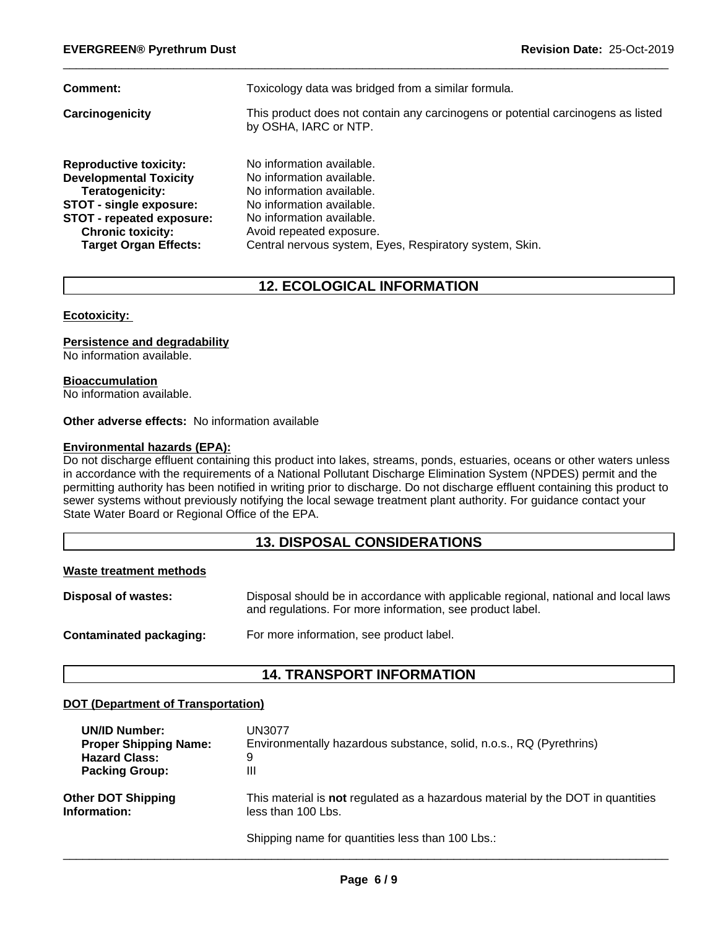| Comment:                                                                                                                                                                                                     | Toxicology data was bridged from a similar formula.                                                                                                                                                                                  |
|--------------------------------------------------------------------------------------------------------------------------------------------------------------------------------------------------------------|--------------------------------------------------------------------------------------------------------------------------------------------------------------------------------------------------------------------------------------|
| Carcinogenicity                                                                                                                                                                                              | This product does not contain any carcinogens or potential carcinogens as listed<br>by OSHA, IARC or NTP.                                                                                                                            |
| <b>Reproductive toxicity:</b><br><b>Developmental Toxicity</b><br>Teratogenicity:<br><b>STOT - single exposure:</b><br>STOT - repeated exposure:<br><b>Chronic toxicity:</b><br><b>Target Organ Effects:</b> | No information available.<br>No information available.<br>No information available.<br>No information available.<br>No information available.<br>Avoid repeated exposure.<br>Central nervous system, Eyes, Respiratory system, Skin. |

# **12. ECOLOGICAL INFORMATION**

#### **Ecotoxicity:**

# **Persistence and degradability**

No information available.

#### **Bioaccumulation**

No information available.

# **Other adverse effects:** No information available

#### **Environmental hazards (EPA):**

Do not discharge effluent containing this product into lakes, streams, ponds, estuaries, oceans or other waters unless in accordance with the requirements of a National Pollutant Discharge Elimination System (NPDES) permit and the permitting authority has been notified in writing prior to discharge. Do not discharge effluent containing this product to sewer systems without previously notifying the local sewage treatment plant authority. For guidance contact your State Water Board or Regional Office of the EPA.

# **13. DISPOSAL CONSIDERATIONS**

#### **Waste treatment methods**

| <b>Disposal of wastes:</b> | Disposal should be in accordance with applicable regional, national and local laws<br>and regulations. For more information, see product label. |
|----------------------------|-------------------------------------------------------------------------------------------------------------------------------------------------|
| Contaminated packaging:    | For more information, see product label.                                                                                                        |

# **14. TRANSPORT INFORMATION**

# **DOT (Department of Transportation)**

| <b>UN/ID Number:</b>         | UN3077                                                                                 |
|------------------------------|----------------------------------------------------------------------------------------|
| <b>Proper Shipping Name:</b> | Environmentally hazardous substance, solid, n.o.s., RQ (Pyrethrins)                    |
| <b>Hazard Class:</b>         | 9                                                                                      |
| <b>Packing Group:</b>        | Ш                                                                                      |
| <b>Other DOT Shipping</b>    | This material is <b>not</b> regulated as a hazardous material by the DOT in quantities |
| Information:                 | less than 100 Lbs.                                                                     |
|                              | Shipping name for quantities less than 100 Lbs.:                                       |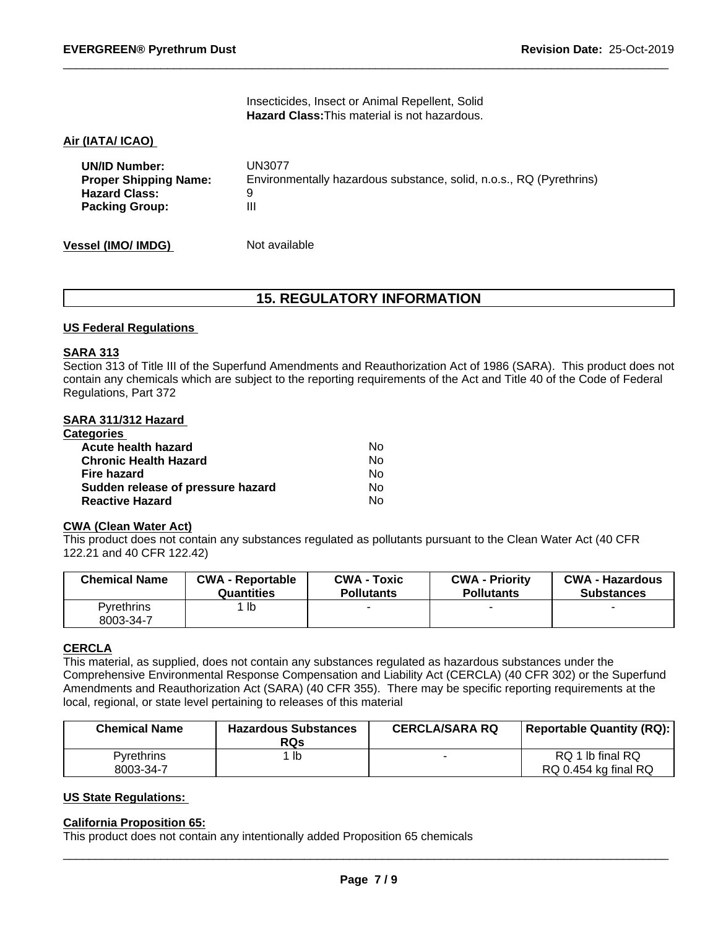Insecticides, Insect or Animal Repellent, Solid **Hazard Class:**This material is not hazardous.

## **Air (IATA/ ICAO)**

| <b>UN/ID Number:</b>         | UN3077                                                              |
|------------------------------|---------------------------------------------------------------------|
| <b>Proper Shipping Name:</b> | Environmentally hazardous substance, solid, n.o.s., RQ (Pyrethrins) |
| <b>Hazard Class:</b>         |                                                                     |
| <b>Packing Group:</b>        | Ш                                                                   |
|                              |                                                                     |

**Vessel (IMO/ IMDG)** Not available

# **15. REGULATORY INFORMATION**

#### **US Federal Regulations**

#### **SARA 313**

Section 313 of Title III of the Superfund Amendments and Reauthorization Act of 1986 (SARA). This product does not contain any chemicals which are subject to the reporting requirements of the Act and Title 40 of the Code of Federal Regulations, Part 372

#### **SARA 311/312 Hazard**

| <b>Categories</b>                 |    |  |
|-----------------------------------|----|--|
| Acute health hazard               | No |  |
| <b>Chronic Health Hazard</b>      | No |  |
| Fire hazard                       | Nο |  |
| Sudden release of pressure hazard | No |  |
| <b>Reactive Hazard</b>            | No |  |

## **CWA (Clean Water Act)**

This product does not contain any substances regulated as pollutants pursuant to the Clean Water Act (40 CFR 122.21 and 40 CFR 122.42)

| <b>Chemical Name</b>           | <b>CWA - Reportable</b> | <b>CWA - Toxic</b> | <b>CWA - Priority</b> | <b>CWA - Hazardous</b> |
|--------------------------------|-------------------------|--------------------|-----------------------|------------------------|
|                                | Quantities              | <b>Pollutants</b>  | <b>Pollutants</b>     | <b>Substances</b>      |
| <b>Pyrethrins</b><br>8003-34-7 | lb                      |                    |                       |                        |

# **CERCLA**

This material, as supplied, does not contain any substances regulated as hazardous substances under the Comprehensive Environmental Response Compensation and Liability Act (CERCLA) (40 CFR 302) or the Superfund Amendments and Reauthorization Act (SARA) (40 CFR 355). There may be specific reporting requirements at the local, regional, or state level pertaining to releases of this material

| <b>Chemical Name</b> | <b>Hazardous Substances</b><br><b>RQs</b> | <b>CERCLA/SARA RQ</b> | <b>Reportable Quantity (RQ):</b> |
|----------------------|-------------------------------------------|-----------------------|----------------------------------|
| <b>Pyrethrins</b>    | lb                                        |                       | RQ 1 lb final RQ                 |
| 8003-34-7            |                                           |                       | RQ 0.454 kg final RQ             |

#### **US State Regulations:**

### **California Proposition 65:**

This product does not contain any intentionally added Proposition 65 chemicals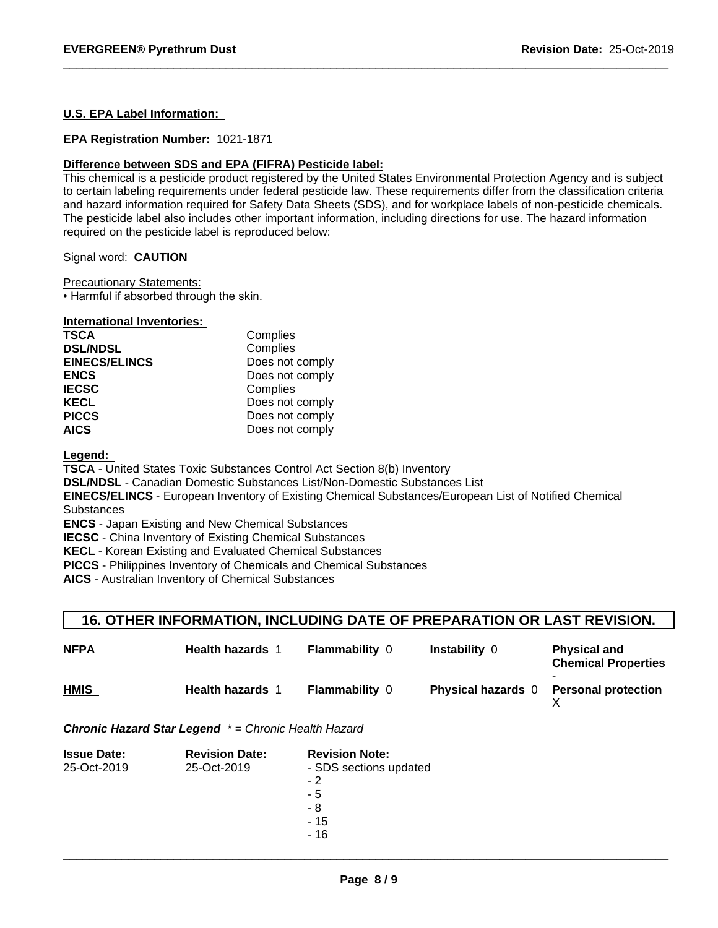## **U.S. EPA Label Information:**

#### **EPA Registration Number:** 1021-1871

#### **Difference between SDS and EPA (FIFRA) Pesticide label:**

This chemical is a pesticide product registered by the United States Environmental Protection Agency and is subject to certain labeling requirements under federal pesticide law. These requirements differ from the classification criteria and hazard information required for Safety Data Sheets (SDS), and for workplace labels of non-pesticide chemicals. The pesticide label also includes other important information, including directions for use. The hazard information required on the pesticide label is reproduced below:

Signal word: **CAUTION**

Precautionary Statements:

• Harmful if absorbed through the skin.

| <b>International Inventories:</b> |                 |
|-----------------------------------|-----------------|
| <b>TSCA</b>                       | Complies        |
| <b>DSL/NDSL</b>                   | Complies        |
| <b>EINECS/ELINCS</b>              | Does not comply |
| <b>ENCS</b>                       | Does not comply |
| <b>IECSC</b>                      | Complies        |
| <b>KECL</b>                       | Does not comply |
| <b>PICCS</b>                      | Does not comply |
| <b>AICS</b>                       | Does not comply |

**Legend:** 

**TSCA** - United States Toxic Substances Control Act Section 8(b) Inventory

**DSL/NDSL** - Canadian Domestic Substances List/Non-Domestic Substances List

**EINECS/ELINCS** - European Inventory of Existing Chemical Substances/European List of Notified Chemical **Substances** 

**ENCS** - Japan Existing and New Chemical Substances

**IECSC** - China Inventory of Existing Chemical Substances

**KECL** - Korean Existing and Evaluated Chemical Substances

**PICCS** - Philippines Inventory of Chemicals and Chemical Substances

**AICS** - Australian Inventory of Chemical Substances

# **16. OTHER INFORMATION, INCLUDING DATE OF PREPARATION OR LAST REVISION.**

| <b>NFPA</b> | <b>Health hazards</b>   | <b>Flammability 0</b> | <b>Instability 0</b>      | <b>Physical and</b><br><b>Chemical Properties</b> |
|-------------|-------------------------|-----------------------|---------------------------|---------------------------------------------------|
| <b>HMIS</b> | <b>Health hazards</b> 1 | <b>Flammability 0</b> | <b>Physical hazards</b> 0 | <b>Personal protection</b>                        |

*Chronic Hazard Star Legend \* = Chronic Health Hazard*

| <b>Issue Date:</b> | <b>Revision Date:</b> | <b>Revision Note:</b>  |  |
|--------------------|-----------------------|------------------------|--|
| 25-Oct-2019        | 25-Oct-2019           | - SDS sections updated |  |
|                    |                       | $-2$                   |  |
|                    |                       | - 5                    |  |
|                    |                       | - 8                    |  |
|                    |                       | - 15                   |  |
|                    |                       | - 16                   |  |